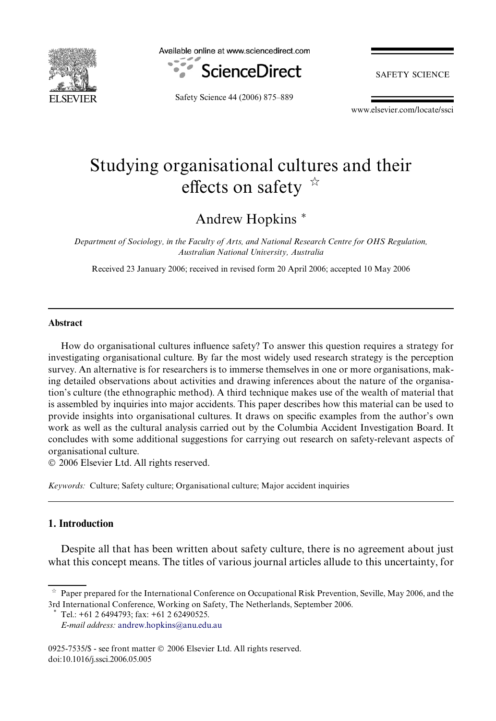

Available online at www.sciencedirect.com



SAFETY SCIENCE

Safety Science 44 (2006) 875–889

www.elsevier.com/locate/ssci

## Studying organisational cultures and their effects on safety  $\overrightarrow{x}$

Andrew Hopkins<sup>\*</sup>

*Department of Sociology, in the Faculty of Arts, and National Research Centre for OHS Regulation, Australian National University, Australia*

Received 23 January 2006; received in revised form 20 April 2006; accepted 10 May 2006

## **Abstract**

How do organisational cultures influence safety? To answer this question requires a strategy for investigating organisational culture. By far the most widely used research strategy is the perception survey. An alternative is for researchers is to immerse themselves in one or more organisations, making detailed observations about activities and drawing inferences about the nature of the organisation's culture (the ethnographic method). A third technique makes use of the wealth of material that is assembled by inquiries into major accidents. This paper describes how this material can be used to provide insights into organisational cultures. It draws on specific examples from the author's own work as well as the cultural analysis carried out by the Columbia Accident Investigation Board. It concludes with some additional suggestions for carrying out research on safety-relevant aspects of organisational culture.

© 2006 Elsevier Ltd. All rights reserved.

*Keywords:* Culture; Safety culture; Organisational culture; Major accident inquiries

## **1. Introduction**

Despite all that has been written about safety culture, there is no agreement about just what this concept means. The titles of various journal articles allude to this uncertainty, for

0925-7535/\$ - see front matter © 2006 Elsevier Ltd. All rights reserved. doi:10.1016/j.ssci.2006.05.005

 $\dot{\tau}$  Paper prepared for the International Conference on Occupational Risk Prevention, Seville, May 2006, and the 3rd International Conference, Working on Safety, The Netherlands, September 2006.

Tel.: +61 2 6494793; fax: +61 2 62490525.

*E-mail address:* [andrew.hopkins@anu.edu.au](mailto: andrew.hopkins@anu.edu.au)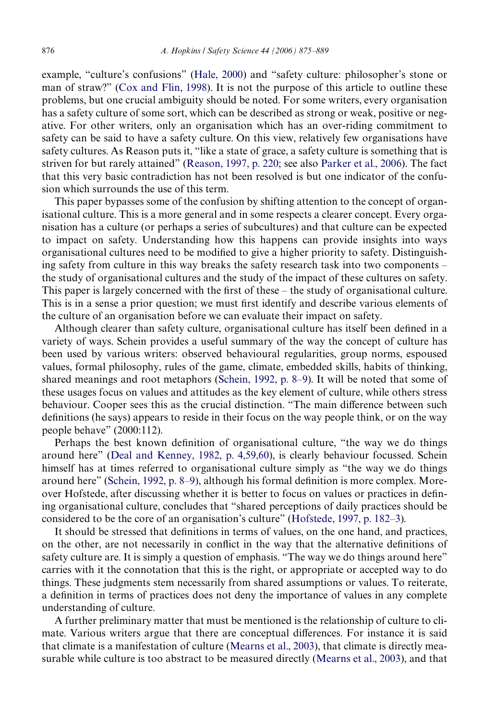example, "culture's confusions" [\(Hale, 2000](#page--1-0)) and "safety culture: philosopher's stone or man of straw?" [\(Cox and Flin, 1998](#page--1-1)). It is not the purpose of this article to outline these problems, but one crucial ambiguity should be noted. For some writers, every organisation has a safety culture of some sort, which can be described as strong or weak, positive or negative. For other writers, only an organisation which has an over-riding commitment to safety can be said to have a safety culture. On this view, relatively few organisations have safety cultures. As Reason puts it, "like a state of grace, a safety culture is something that is striven for but rarely attained" [\(Reason, 1997, p. 220;](#page--1-2) see also [Parker et al., 2006](#page--1-3)). The fact that this very basic contradiction has not been resolved is but one indicator of the confusion which surrounds the use of this term.

This paper bypasses some of the confusion by shifting attention to the concept of organisational culture. This is a more general and in some respects a clearer concept. Every organisation has a culture (or perhaps a series of subcultures) and that culture can be expected to impact on safety. Understanding how this happens can provide insights into ways organisational cultures need to be modified to give a higher priority to safety. Distinguishing safety from culture in this way breaks the safety research task into two components – the study of organisational cultures and the study of the impact of these cultures on safety. This paper is largely concerned with the first of these  $-$  the study of organisational culture. This is in a sense a prior question; we must first identify and describe various elements of the culture of an organisation before we can evaluate their impact on safety.

Although clearer than safety culture, organisational culture has itself been defined in a variety of ways. Schein provides a useful summary of the way the concept of culture has been used by various writers: observed behavioural regularities, group norms, espoused values, formal philosophy, rules of the game, climate, embedded skills, habits of thinking, shared meanings and root metaphors [\(Schein, 1992, p. 8–9\)](#page--1-4). It will be noted that some of these usages focus on values and attitudes as the key element of culture, while others stress behaviour. Cooper sees this as the crucial distinction. "The main difference between such definitions (he says) appears to reside in their focus on the way people think, or on the way people behave" (2000:112).

Perhaps the best known definition of organisational culture, "the way we do things around here" [\(Deal and Kenney, 1982, p. 4,59,60](#page--1-5)), is clearly behaviour focussed. Schein himself has at times referred to organisational culture simply as "the way we do things around here" ([Schein, 1992, p. 8–9](#page--1-4)), although his formal definition is more complex. Moreover Hofstede, after discussing whether it is better to focus on values or practices in defining organisational culture, concludes that "shared perceptions of daily practices should be considered to be the core of an organisation's culture" [\(Hofstede, 1997, p. 182–3](#page--1-6)).

It should be stressed that definitions in terms of values, on the one hand, and practices, on the other, are not necessarily in conflict in the way that the alternative definitions of safety culture are. It is simply a question of emphasis. "The way we do things around here" carries with it the connotation that this is the right, or appropriate or accepted way to do things. These judgments stem necessarily from shared assumptions or values. To reiterate, a definition in terms of practices does not deny the importance of values in any complete understanding of culture.

A further preliminary matter that must be mentioned is the relationship of culture to climate. Various writers argue that there are conceptual differences. For instance it is said that climate is a manifestation of culture [\(Mearns et al., 2003\)](#page--1-7), that climate is directly measurable while culture is too abstract to be measured directly [\(Mearns et al., 2003](#page--1-7)), and that